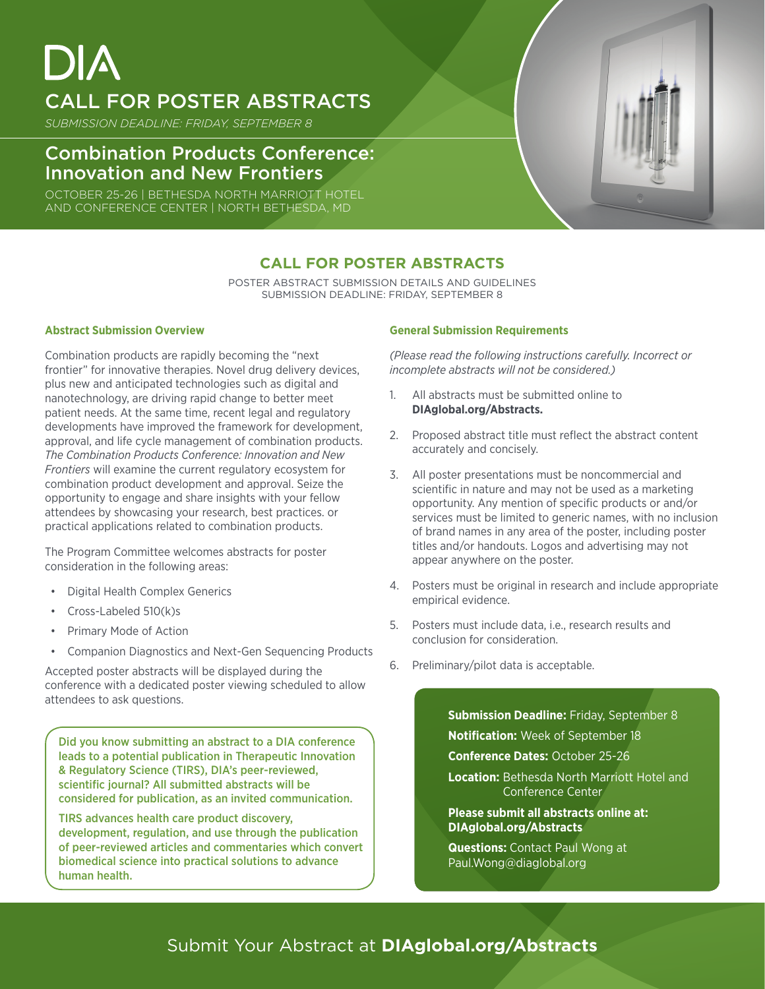# CALL FOR POSTER ABSTRACTS

*SUBMISSION DEADLINE: FRIDAY, SEPTEMBER 8*

## Combination Products Conference: Innovation and New Frontiers

OCTOBER 25-26 | BETHESDA NORTH MARRIOTT HOTEL AND CONFERENCE CENTER | NORTH BETHESDA, MD

## **CALL FOR POSTER ABSTRACTS**

POSTER ABSTRACT SUBMISSION DETAILS AND GUIDELINES SUBMISSION DEADLINE: FRIDAY, SEPTEMBER 8

### **Abstract Submission Overview**

Combination products are rapidly becoming the "next frontier" for innovative therapies. Novel drug delivery devices, plus new and anticipated technologies such as digital and nanotechnology, are driving rapid change to better meet patient needs. At the same time, recent legal and regulatory developments have improved the framework for development, approval, and life cycle management of combination products. *The Combination Products Conference: Innovation and New Frontiers* will examine the current regulatory ecosystem for combination product development and approval. Seize the opportunity to engage and share insights with your fellow attendees by showcasing your research, best practices. or practical applications related to combination products.

The Program Committee welcomes abstracts for poster consideration in the following areas:

- Digital Health Complex Generics
- Cross-Labeled 510(k)s
- Primary Mode of Action
- Companion Diagnostics and Next-Gen Sequencing Products

Accepted poster abstracts will be displayed during the conference with a dedicated poster viewing scheduled to allow attendees to ask questions.

Did you know submitting an abstract to a DIA conference leads to a potential publication in Therapeutic Innovation & Regulatory Science (TIRS), DIA's peer-reviewed, scientific journal? All submitted abstracts will be considered for publication, as an invited communication.

TIRS advances health care product discovery, development, regulation, and use through the publication of peer-reviewed articles and commentaries which convert biomedical science into practical solutions to advance human health.

#### **General Submission Requirements**

*(Please read the following instructions carefully. Incorrect or incomplete abstracts will not be considered.)*

- 1. All abstracts must be submitted online to **[DIAglobal.org/Abstracts](http://DIAglobal.org/Abstracts).**
- 2. Proposed abstract title must reflect the abstract content accurately and concisely.
- 3. All poster presentations must be noncommercial and scientific in nature and may not be used as a marketing opportunity. Any mention of specific products or and/or services must be limited to generic names, with no inclusion of brand names in any area of the poster, including poster titles and/or handouts. Logos and advertising may not appear anywhere on the poster.
- 4. Posters must be original in research and include appropriate empirical evidence.
- 5. Posters must include data, i.e., research results and conclusion for consideration.
- 6. Preliminary/pilot data is acceptable.

**Submission Deadline:** Friday, September 8 **Notification:** Week of September 18

**Conference Dates:** October 25-26

**Location:** Bethesda North Marriott Hotel and Conference Center

**Please submit all abstracts online at: [DIAglobal.org/Abstracts](http://DIAglobal.org/Abstracts )**

**Questions:** Contact Paul Wong at [Paul.Wong@diaglobal.org](http://Paul.Wong@diaglobal.org)

## Submit Your Abstract at **DIAglobal.org/Abstracts**